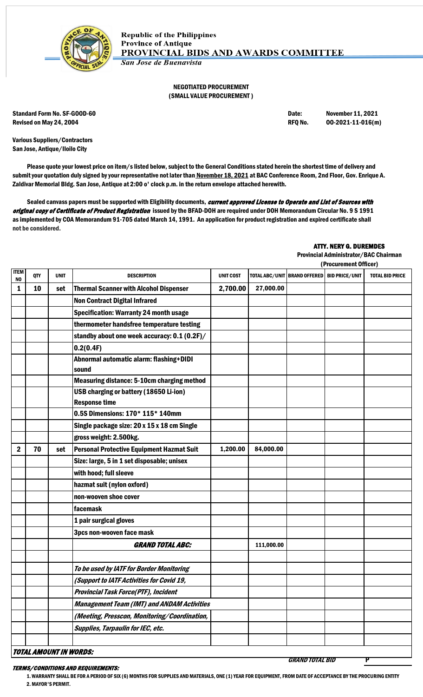

**Republic of the Philippines Province of Antique** PROVINCIAL BIDS AND AWARDS COMMITTEE **San Jose de Buenavista** 

> NEGOTIATED PROCUREMENT (SMALL VALUE PROCUREMENT )

Standard Form No. SF-GOOD-60 Date: November 11, 2021 Revised on May 24, 2004 **RFQ No.** 00-2021-11-016(m)

Various Suppliers/Contractors San Jose, Antique/Iloilo City

Please quote your lowest price on item/s listed below, subject to the General Conditions stated herein the shortest time of delivery and submit your quotation duly signed by your representative not later than November 18, 2021 at BAC Conference Room, 2nd Floor, Gov. Enrique A. Zaldivar Memorial Bldg. San Jose, Antique at 2:00 o' clock p.m. in the return envelope attached herewith.

Sealed canvass papers must be supported with Eligibility documents, current approved License to Operate and List of Sources with original copy of Certificate of Product Registration issued by the BFAD-DOH are required under DOH Memorandum Circular No. 9 S 1991 as implemented by COA Memorandum 91-705 dated March 14, 1991. An application for product registration and expired certificate shall not be considered.

## ATTY. NERY G. DUREMDES

Provincial Administrator/BAC Chairman

| (Procurement Officer) |  |
|-----------------------|--|
|                       |  |

|                   |            |             |                                                   |                  |            | (FIUCUIEIIIEIIL UIIICEI J                       |                        |
|-------------------|------------|-------------|---------------------------------------------------|------------------|------------|-------------------------------------------------|------------------------|
| <b>ITEM</b><br>NO | <b>QTY</b> | <b>UNIT</b> | <b>DESCRIPTION</b>                                | <b>UNIT COST</b> |            | TOTAL ABC/UNIT   BRAND OFFERED   BID PRICE/UNIT | <b>TOTAL BID PRICE</b> |
| 1                 | 10         | set         | <b>Thermal Scanner with Alcohol Dispenser</b>     | 2,700.00         | 27,000.00  |                                                 |                        |
|                   |            |             | <b>Non Contract Digital Infrared</b>              |                  |            |                                                 |                        |
|                   |            |             | <b>Specification: Warranty 24 month usage</b>     |                  |            |                                                 |                        |
|                   |            |             | thermometer handsfree temperature testing         |                  |            |                                                 |                        |
|                   |            |             | standby about one week accuracy: 0.1 (0.2F)/      |                  |            |                                                 |                        |
|                   |            |             | 0.2(0.4F)                                         |                  |            |                                                 |                        |
|                   |            |             | Abnormal automatic alarm: flashing+DIDI           |                  |            |                                                 |                        |
|                   |            |             | sound                                             |                  |            |                                                 |                        |
|                   |            |             | Measuring distance: 5-10cm charging method        |                  |            |                                                 |                        |
|                   |            |             | USB charging or battery (18650 Li-ion)            |                  |            |                                                 |                        |
|                   |            |             | <b>Response time</b>                              |                  |            |                                                 |                        |
|                   |            |             | 0.5S Dimensions: 170* 115* 140mm                  |                  |            |                                                 |                        |
|                   |            |             | Single package size: 20 x 15 x 18 cm Single       |                  |            |                                                 |                        |
|                   |            |             | gross weight: 2.500kg.                            |                  |            |                                                 |                        |
| $\mathbf 2$       | 70         | set         | <b>Personal Protective Equipment Hazmat Suit</b>  | 1,200.00         | 84,000.00  |                                                 |                        |
|                   |            |             | Size: large, 5 in 1 set disposable; unisex        |                  |            |                                                 |                        |
|                   |            |             | with hood; full sleeve                            |                  |            |                                                 |                        |
|                   |            |             | hazmat suit (nylon oxford)                        |                  |            |                                                 |                        |
|                   |            |             | non-wooven shoe cover                             |                  |            |                                                 |                        |
|                   |            |             | facemask                                          |                  |            |                                                 |                        |
|                   |            |             | 1 pair surgical gloves                            |                  |            |                                                 |                        |
|                   |            |             | 3pcs non-wooven face mask                         |                  |            |                                                 |                        |
|                   |            |             | <b>GRAND TOTAL ABC:</b>                           |                  | 111,000.00 |                                                 |                        |
|                   |            |             |                                                   |                  |            |                                                 |                        |
|                   |            |             | To be used by IATF for Border Monitoring          |                  |            |                                                 |                        |
|                   |            |             | (Support to IATF Activities for Covid 19,         |                  |            |                                                 |                        |
|                   |            |             | <b>Provincial Task Force(PTF), Incident</b>       |                  |            |                                                 |                        |
|                   |            |             | <b>Management Team (IMT) and ANDAM Activities</b> |                  |            |                                                 |                        |
|                   |            |             | (Meeting, Presscon, Monitoring/Coordination,      |                  |            |                                                 |                        |
|                   |            |             | <b>Supplies, Tarpaulin for IEC, etc.</b>          |                  |            |                                                 |                        |
|                   |            |             |                                                   |                  |            |                                                 |                        |
|                   |            |             | <b>TOTAL AMOUNT IN WORDS:</b>                     |                  |            |                                                 |                        |

## TERMS/CONDITIONS AND REQUIREMENTS:

1. WARRANTY SHALL BE FOR A PERIOD OF SIX (6) MONTHS FOR SUPPLIES AND MATERIALS, ONE (1) YEAR FOR EQUIPMENT, FROM DATE OF ACCEPTANCE BY THE PROCURING ENTITY 2. MAYOR'S PERMIT.

GRAND TOTAL BID P